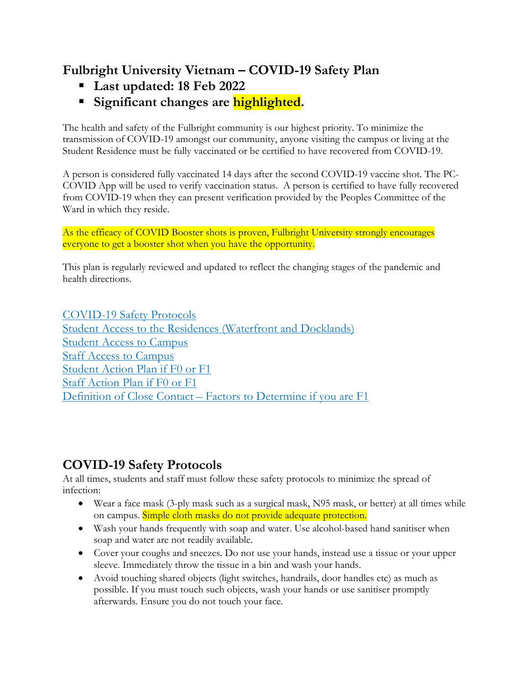# **Fulbright University Vietnam – COVID-19 Safety Plan**

- § **Last updated: 18 Feb 2022**
- § **Significant changes are highlighted.**

The health and safety of the Fulbright community is our highest priority. To minimize the transmission of COVID-19 amongst our community, anyone visiting the campus or living at the Student Residence must be fully vaccinated or be certified to have recovered from COVID-19.

A person is considered fully vaccinated 14 days after the second COVID-19 vaccine shot. The PC-COVID App will be used to verify vaccination status. A person is certified to have fully recovered from COVID-19 when they can present verification provided by the Peoples Committee of the Ward in which they reside.

As the efficacy of COVID Booster shots is proven, Fulbright University strongly encourages everyone to get a booster shot when you have the opportunity.

This plan is regularly reviewed and updated to reflect the changing stages of the pandemic and health directions.

COVID-19 Safety Protocols Student Access to the Residences (Waterfront and Docklands) Student Access to Campus Staff Access to Campus Student Action Plan if F0 or F1 Staff Action Plan if F0 or F1 Definition of Close Contact – Factors to Determine if you are F1

# **COVID-19 Safety Protocols**

At all times, students and staff must follow these safety protocols to minimize the spread of infection:

- Wear a face mask (3-ply mask such as a surgical mask, N95 mask, or better) at all times while on campus. Simple cloth masks do not provide adequate protection.
- Wash your hands frequently with soap and water. Use alcohol-based hand sanitiser when soap and water are not readily available.
- Cover your coughs and sneezes. Do not use your hands, instead use a tissue or your upper sleeve. Immediately throw the tissue in a bin and wash your hands.
- Avoid touching shared objects (light switches, handrails, door handles etc) as much as possible. If you must touch such objects, wash your hands or use sanitiser promptly afterwards. Ensure you do not touch your face.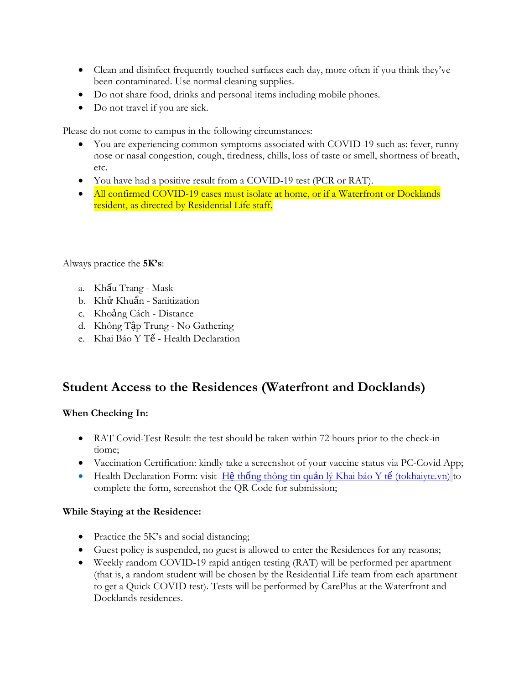- Clean and disinfect frequently touched surfaces each day, more often if you think they've been contaminated. Use normal cleaning supplies.
- Do not share food, drinks and personal items including mobile phones.
- Do not travel if you are sick.

Please do not come to campus in the following circumstances:

- You are experiencing common symptoms associated with COVID-19 such as: fever, runny nose or nasal congestion, cough, tiredness, chills, loss of taste or smell, shortness of breath, etc.
- You have had a positive result from a COVID-19 test (PCR or RAT).
- All confirmed COVID-19 cases must isolate at home, or if a Waterfront or Docklands resident, as directed by Residential Life staff.

Always practice the **5K's**:

- a. Khẩu Trang Mask
- b. Khử Khuẩn Sanitization
- c. Khoảng Cách Distance
- d. Không Tập Trung No Gathering
- e. Khai Báo Y Tế Health Declaration

#### **Student Access to the Residences (Waterfront and Docklands)**

#### **When Checking In:**

- RAT Covid-Test Result: the test should be taken within 72 hours prior to the check-in tiome;
- Vaccination Certification: kindly take a screenshot of your vaccine status via PC-Covid App;
- Health Declaration Form: visit H $\hat{\mathbf{e}}$  thống thông tin quản lý Khai báo Y tế (tokhaiyte.vn) to complete the form, screenshot the QR Code for submission;

#### **While Staying at the Residence:**

- Practice the 5K's and social distancing;
- Guest policy is suspended, no guest is allowed to enter the Residences for any reasons;
- Weekly random COVID-19 rapid antigen testing (RAT) will be performed per apartment (that is, a random student will be chosen by the Residential Life team from each apartment to get a Quick COVID test). Tests will be performed by CarePlus at the Waterfront and Docklands residences.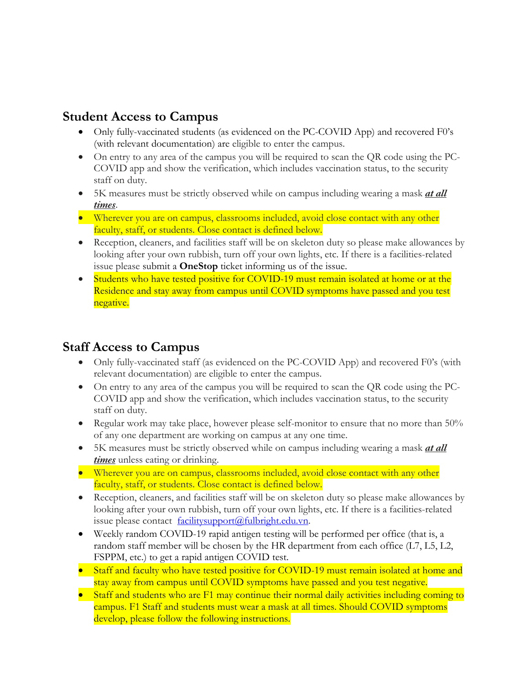#### **Student Access to Campus**

- Only fully-vaccinated students (as evidenced on the PC-COVID App) and recovered F0's (with relevant documentation) are eligible to enter the campus.
- On entry to any area of the campus you will be required to scan the QR code using the PC-COVID app and show the verification, which includes vaccination status, to the security staff on duty.
- 5K measures must be strictly observed while on campus including wearing a mask *at all times*.
- Wherever you are on campus, classrooms included, avoid close contact with any other faculty, staff, or students. Close contact is defined below.
- Reception, cleaners, and facilities staff will be on skeleton duty so please make allowances by looking after your own rubbish, turn off your own lights, etc. If there is a facilities-related issue please submit a **OneStop** ticket informing us of the issue.
- Students who have tested positive for COVID-19 must remain isolated at home or at the Residence and stay away from campus until COVID symptoms have passed and you test negative.

## **Staff Access to Campus**

- Only fully-vaccinated staff (as evidenced on the PC-COVID App) and recovered F0's (with relevant documentation) are eligible to enter the campus.
- On entry to any area of the campus you will be required to scan the QR code using the PC-COVID app and show the verification, which includes vaccination status, to the security staff on duty.
- Regular work may take place, however please self-monitor to ensure that no more than 50% of any one department are working on campus at any one time.
- 5K measures must be strictly observed while on campus including wearing a mask *at all times* unless eating or drinking.
- Wherever you are on campus, classrooms included, avoid close contact with any other faculty, staff, or students. Close contact is defined below.
- Reception, cleaners, and facilities staff will be on skeleton duty so please make allowances by looking after your own rubbish, turn off your own lights, etc. If there is a facilities-related issue please contact <u>facilitysupport@fulbright.edu.vn</u>.
- Weekly random COVID-19 rapid antigen testing will be performed per office (that is, a random staff member will be chosen by the HR department from each office (L7, L5, L2, FSPPM, etc.) to get a rapid antigen COVID test.
- Staff and faculty who have tested positive for COVID-19 must remain isolated at home and stay away from campus until COVID symptoms have passed and you test negative.
- Staff and students who are F1 may continue their normal daily activities including coming to campus. F1 Staff and students must wear a mask at all times. Should COVID symptoms develop, please follow the following instructions.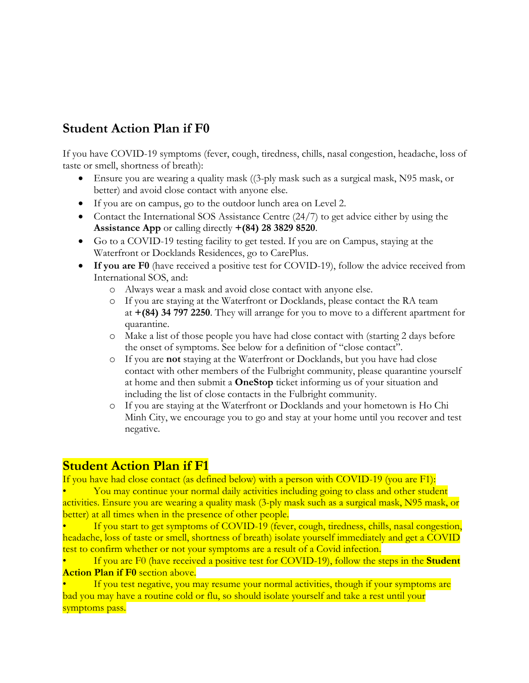## **Student Action Plan if F0**

If you have COVID-19 symptoms (fever, cough, tiredness, chills, nasal congestion, headache, loss of taste or smell, shortness of breath):

- Ensure you are wearing a quality mask ((3-ply mask such as a surgical mask, N95 mask, or better) and avoid close contact with anyone else.
- If you are on campus, go to the outdoor lunch area on Level 2.
- Contact the International SOS Assistance Centre (24/7) to get advice either by using the **Assistance App** or calling directly **+(84) 28 3829 8520**.
- Go to a COVID-19 testing facility to get tested. If you are on Campus, staying at the Waterfront or Docklands Residences, go to CarePlus.
- **If you are F0** (have received a positive test for COVID-19), follow the advice received from International SOS, and:
	- o Always wear a mask and avoid close contact with anyone else.
	- o If you are staying at the Waterfront or Docklands, please contact the RA team at **+(84) 34 797 2250**. They will arrange for you to move to a different apartment for quarantine.
	- o Make a list of those people you have had close contact with (starting 2 days before the onset of symptoms. See below for a definition of "close contact".
	- o If you are **not** staying at the Waterfront or Docklands, but you have had close contact with other members of the Fulbright community, please quarantine yourself at home and then submit a **OneStop** ticket informing us of your situation and including the list of close contacts in the Fulbright community.
	- o If you are staying at the Waterfront or Docklands and your hometown is Ho Chi Minh City, we encourage you to go and stay at your home until you recover and test negative.

### **Student Action Plan if F1**

If you have had close contact (as defined below) with a person with COVID-19 (you are F1): • You may continue your normal daily activities including going to class and other student

activities. Ensure you are wearing a quality mask (3-ply mask such as a surgical mask, N95 mask, or better) at all times when in the presence of other people.

If you start to get symptoms of COVID-19 (fever, cough, tiredness, chills, nasal congestion, headache, loss of taste or smell, shortness of breath) isolate yourself immediately and get a COVID test to confirm whether or not your symptoms are a result of a Covid infection.

• If you are F0 (have received a positive test for COVID-19), follow the steps in the **Student Action Plan if F0** section above.

If you test negative, you may resume your normal activities, though if your symptoms are bad you may have a routine cold or flu, so should isolate yourself and take a rest until your symptoms pass.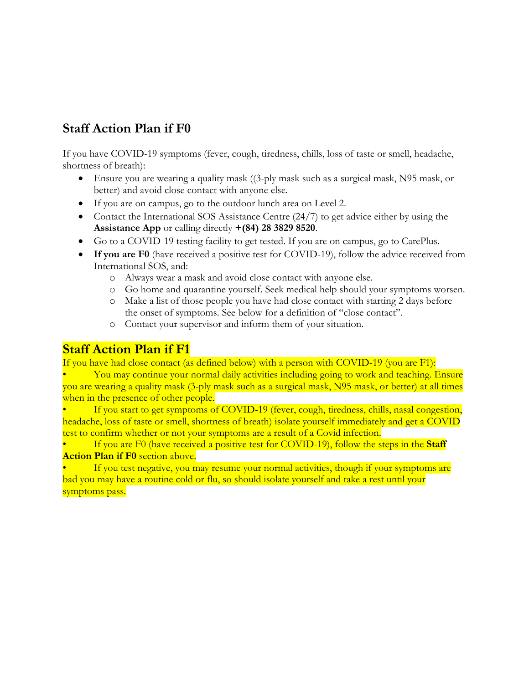## **Staff Action Plan if F0**

If you have COVID-19 symptoms (fever, cough, tiredness, chills, loss of taste or smell, headache, shortness of breath):

- Ensure you are wearing a quality mask ((3-ply mask such as a surgical mask, N95 mask, or better) and avoid close contact with anyone else.
- If you are on campus, go to the outdoor lunch area on Level 2.
- Contact the International SOS Assistance Centre (24/7) to get advice either by using the **Assistance App** or calling directly **+(84) 28 3829 8520**.
- Go to a COVID-19 testing facility to get tested. If you are on campus, go to CarePlus.
- **If you are F0** (have received a positive test for COVID-19), follow the advice received from International SOS, and:
	- o Always wear a mask and avoid close contact with anyone else.
	- o Go home and quarantine yourself. Seek medical help should your symptoms worsen.
	- o Make a list of those people you have had close contact with starting 2 days before the onset of symptoms. See below for a definition of "close contact".
	- o Contact your supervisor and inform them of your situation.

#### **Staff Action Plan if F1**

If you have had close contact (as defined below) with a person with COVID-19 (you are F1):

• You may continue your normal daily activities including going to work and teaching. Ensure you are wearing a quality mask (3-ply mask such as a surgical mask, N95 mask, or better) at all times when in the presence of other people.

If you start to get symptoms of COVID-19 (fever, cough, tiredness, chills, nasal congestion, headache, loss of taste or smell, shortness of breath) isolate yourself immediately and get a COVID test to confirm whether or not your symptoms are a result of a Covid infection.

• If you are F0 (have received a positive test for COVID-19), follow the steps in the **Staff Action Plan if F0** section above.

If you test negative, you may resume your normal activities, though if your symptoms are bad you may have a routine cold or flu, so should isolate yourself and take a rest until your symptoms pass.